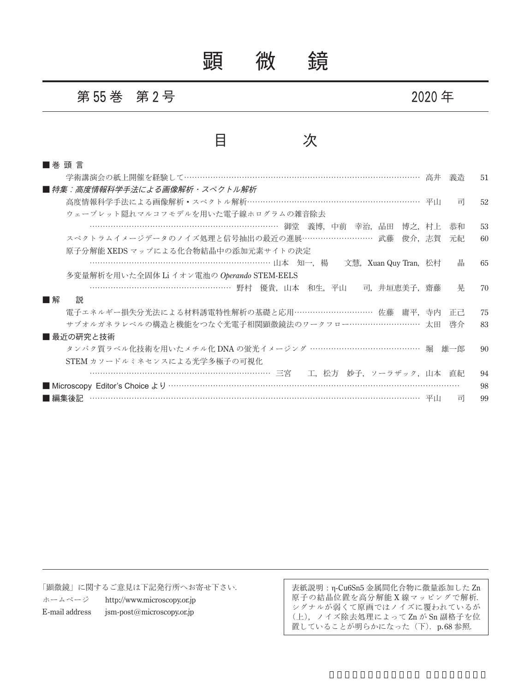顕 微 鏡

## **第 55 巻 第 2 号 ままの ままの 2020** 年

## 目 次

| ■ 巻 頭 言                                                 |       |    |
|---------------------------------------------------------|-------|----|
| 学術講演会の紙上開催を経験して…………………………………………………………………………… 高井         | 義浩    | 51 |
| ■ 特集:高度情報科学手法による画像解析・スペクトル解析                            |       |    |
| 高度情報科学手法による画像解析・スペクトル解析………………………………………………………… 平山        | 司     | 52 |
| ウェーブレット隠れマルコフモデルを用いた電子線ホログラムの雑音除去                       |       |    |
| ………………………………………………………………… 御堂 義博 中前 幸治 品田<br>博之,村上       | 恭和    | 53 |
| スペクトラムイメージデータのノイズ処理と信号抽出の最近の進展……………………… 武藤<br>俊介,志賀     | 元紀    | 60 |
| 原子分解能 XEDS マップによる化合物結晶中の添加元素サイトの決定                      |       |    |
| ……………………………………………………………… 山本 知一, 楊 文慧, Xuan Quy Tran, 松村 | 晶     | 65 |
| 多変量解析を用いた全固体 Li イオン電池の Operando STEM-EELS               |       |    |
| ……………………………………………… 野村 優貴,山本 和生,平山<br>司,井垣恵美子,齋藤         | 晃     | 70 |
| 説<br>■解                                                 |       |    |
| 電子エネルギー損失分光法による材料誘電特性解析の基礎と応用…………………………… 佐藤 庸平、寺内       | TH H. | 75 |
| サブオルガネラレベルの構造と機能をつなぐ光電子相関顕微鏡法のワークフロー……………………… 太田        | 啓介    | 83 |
| ■ 最近の研究と技術                                              |       |    |
| タンパク質ラベル化技術を用いたメチル化 DNA の蛍光イメージング …………………………………… 堀      | 雄一郎   | 90 |
| STEM カソードルミネセンスによる光学多極子の可視化                             |       |    |
| ……………………………………………………………… 三宮 - 工,松方 妙子,ソーラザック,山本 直紀      |       | 94 |
|                                                         |       | 98 |
| ■編集後記                                                   | 司     | 99 |

「顕微鏡」に関するご意見は下記発行所へお寄せ下さい. ホームページ http://www.microscopy.or.jp E-mail address jsm-post@microscopy.or.jp

表紙説明:η-Cu6Sn5 金属間化合物に微量添加した Zn 原子の結晶位置を高分解能 X 線マッピングで解析. シグナルが弱くて原画ではノイズに覆われているが (上),ノイズ除去処理によって Zn が Sn 副格子を位 置していることが明らかになった(下). p.68 参照.